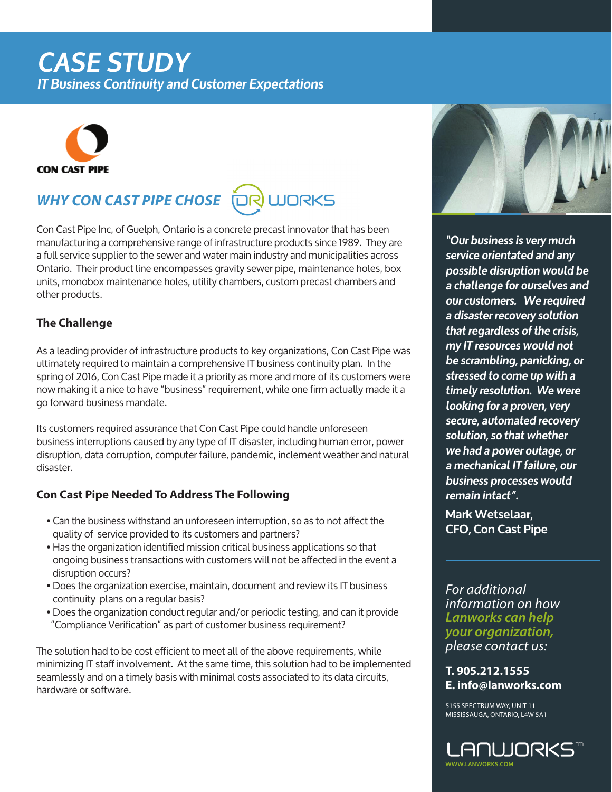# *CASE STUDY*

*IT Business Continuity and Customer Expectations*



### *WHY CON CAST PIPE CHOSE* **UJORKS**

Con Cast Pipe Inc, of Guelph, Ontario is a concrete precast innovator that has been manufacturing a comprehensive range of infrastructure products since 1989. They are a full service supplier to the sewer and water main industry and municipalities across Ontario. Their product line encompasses gravity sewer pipe, maintenance holes, box units, monobox maintenance holes, utility chambers, custom precast chambers and other products.

# **The Challenge**

As a leading provider of infrastructure products to key organizations, Con Cast Pipe was ultimately required to maintain a comprehensive IT business continuity plan. In the spring of 2016, Con Cast Pipe made it a priority as more and more of its customers were now making it a nice to have "business" requirement, while one firm actually made it a go forward business mandate.

Its customers required assurance that Con Cast Pipe could handle unforeseen business interruptions caused by any type of IT disaster, including human error, power disruption, data corruption, computer failure, pandemic, inclement weather and natural disaster.

### **Con Cast Pipe Needed To Address The Following**

- Can the business withstand an unforeseen interruption, so as to not affect the quality of service provided to its customers and partners?
- Has the organization identified mission critical business applications so that ongoing business transactions with customers will not be affected in the event a disruption occurs?
- Does the organization exercise, maintain, document and review its IT business continuity plans on a regular basis?
- Does the organization conduct regular and/or periodic testing, and can it provide "Compliance Verification" as part of customer business requirement?

The solution had to be cost efficient to meet all of the above requirements, while minimizing IT staff involvement. At the same time, this solution had to be implemented seamlessly and on a timely basis with minimal costs associated to its data circuits, hardware or software.



*"Our business is very much service orientated and any possible disruption would be a challenge for ourselves and our customers. We required a disaster recovery solution that regardless of the crisis, my IT resources would not be scrambling, panicking, or stressed to come up with a timely resolution. We were looking for a proven, very secure, automated recovery solution, so that whether we had a power outage, or a mechanical IT failure, our business processes would remain intact".* 

**Mark Wetselaar, CFO, Con Cast Pipe**

*For additional information on how Lanworks can help your organization, please contact us:*

**T. 905.212.1555 E. info@lanworks.com**

5155 SPECTRUM WAY, UNIT 11 MISSISSAUGA, ONTARIO, L4W 5A1